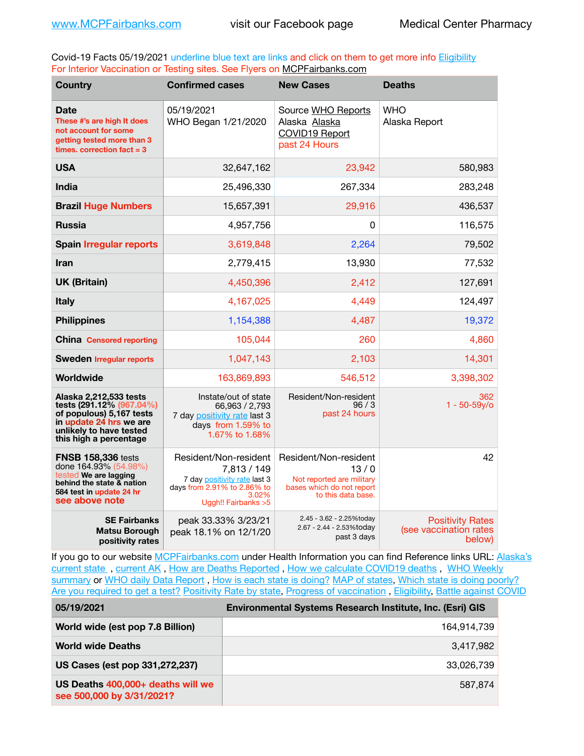Covid-19 Facts 05/19/2021 underline blue text are links and click on them to get more info **Eligibility** For Interior Vaccination or Testing sites. See Flyers on [MCPFairbanks.com](http://www.MCPFairbanks.com)

| <b>Country</b>                                                                                                                                                             | <b>Confirmed cases</b>                                                                                                               | <b>New Cases</b>                                                                                              | <b>Deaths</b>                                               |
|----------------------------------------------------------------------------------------------------------------------------------------------------------------------------|--------------------------------------------------------------------------------------------------------------------------------------|---------------------------------------------------------------------------------------------------------------|-------------------------------------------------------------|
| <b>Date</b><br>These #'s are high It does<br>not account for some<br>getting tested more than 3<br>times, correction $fact = 3$                                            | 05/19/2021<br>WHO Began 1/21/2020                                                                                                    | Source WHO Reports<br>Alaska Alaska<br>COVID19 Report<br>past 24 Hours                                        | <b>WHO</b><br>Alaska Report                                 |
| <b>USA</b>                                                                                                                                                                 | 32,647,162                                                                                                                           | 23,942                                                                                                        | 580,983                                                     |
| India                                                                                                                                                                      | 25,496,330                                                                                                                           | 267,334                                                                                                       | 283,248                                                     |
| <b>Brazil Huge Numbers</b>                                                                                                                                                 | 15,657,391                                                                                                                           | 29,916                                                                                                        | 436,537                                                     |
| <b>Russia</b>                                                                                                                                                              | 4,957,756                                                                                                                            | 0                                                                                                             | 116,575                                                     |
| <b>Spain Irregular reports</b>                                                                                                                                             | 3,619,848                                                                                                                            | 2,264                                                                                                         | 79,502                                                      |
| <b>Iran</b>                                                                                                                                                                | 2,779,415                                                                                                                            | 13,930                                                                                                        | 77,532                                                      |
| <b>UK (Britain)</b>                                                                                                                                                        | 4,450,396                                                                                                                            | 2,412                                                                                                         | 127,691                                                     |
| <b>Italy</b>                                                                                                                                                               | 4,167,025                                                                                                                            | 4,449                                                                                                         | 124,497                                                     |
| <b>Philippines</b>                                                                                                                                                         | 1,154,388                                                                                                                            | 4,487                                                                                                         | 19,372                                                      |
| <b>China Censored reporting</b>                                                                                                                                            | 105,044                                                                                                                              | 260                                                                                                           | 4,860                                                       |
| <b>Sweden Irregular reports</b>                                                                                                                                            | 1,047,143                                                                                                                            | 2,103                                                                                                         | 14,301                                                      |
| Worldwide                                                                                                                                                                  | 163,869,893                                                                                                                          | 546,512                                                                                                       | 3,398,302                                                   |
| Alaska 2,212,533 tests<br>tests (291.12 <sup>%</sup> (967.04%)<br>of populous) 5,167 tests<br>in update 24 hrs we are<br>unlikely to have tested<br>this high a percentage | Instate/out of state<br>66,963 / 2,793<br>7 day positivity rate last 3<br>days from 1.59% to<br>1.67% to 1.68%                       | Resident/Non-resident<br>96/3<br>past 24 hours                                                                | 362<br>$1 - 50 - 59y$ o                                     |
| <b>FNSB 158,336 tests</b><br>done 164.93% (54.98%)<br>tested We are lagging<br>behind the state & nation<br>584 test in update 24 hr<br>see above note                     | Resident/Non-resident<br>7,813 / 149<br>7 day positivity rate last 3<br>days from 2.91% to 2.86% to<br>3.02%<br>Uggh!! Fairbanks > 5 | Resident/Non-resident<br>13/0<br>Not reported are military<br>bases which do not report<br>to this data base. | 42                                                          |
| <b>SE Fairbanks</b><br><b>Matsu Borough</b><br>positivity rates                                                                                                            | peak 33.33% 3/23/21<br>peak 18.1% on 12/1/20                                                                                         | 2.45 - 3.62 - 2.25%today<br>2.67 - 2.44 - 2.53%today<br>past 3 days                                           | <b>Positivity Rates</b><br>(see vaccination rates<br>below) |

If you go to our website [MCPFairbanks.com](http://www.MCPFairbanks.com) under Health Information you can find Reference links URL: Alaska's [current state](https://coronavirus-response-alaska-dhss.hub.arcgis.com) , [current AK](http://dhss.alaska.gov/dph/Epi/id/Pages/COVID-19/communications.aspx#cases) , [How are Deaths Reported](http://dhss.alaska.gov/dph/Epi/id/Pages/COVID-19/deathcounts.aspx) , [How we calculate COVID19 deaths](https://coronavirus-response-alaska-dhss.hub.arcgis.com/search?collection=Document&groupIds=41ccb3344ebc4bd682c74073eba21f42) , [WHO Weekly](http://www.who.int)  [summary](http://www.who.int) or [WHO daily Data Report](https://covid19.who.int/table), [How is each state is doing?](https://www.msn.com/en-us/news/us/state-by-state-coronavirus-news/ar-BB13E1PX?fbclid=IwAR0_OBJH7lSyTN3ug_MsOeFnNgB1orTa9OBgilKJ7dhnwlVvHEsptuKkj1c) [MAP of states,](https://www.nationalgeographic.com/science/graphics/graphic-tracking-coronavirus-infections-us?cmpid=org=ngp::mc=crm-email::src=ngp::cmp=editorial::add=SpecialEdition_20210305&rid=B9A6DF5992658E8E35CE023113CFEA4C) [Which state is doing poorly?](https://bestlifeonline.com/covid-outbreak-your-state/?utm_source=nsltr&utm_medium=email&utm_content=covid-outbreak-your-state&utm_campaign=launch) [Are you required to get a test?](http://dhss.alaska.gov/dph/Epi/id/SiteAssets/Pages/HumanCoV/Whattodoafteryourtest.pdf) [Positivity Rate by state](https://coronavirus.jhu.edu/testing/individual-states/alaska), Progress of vaccination, [Eligibility,](http://dhss.alaska.gov/dph/Epi/id/Pages/COVID-19/VaccineAvailability.aspx) [Battle against COVID](https://www.nationalgeographic.com/science/graphics/graphic-tracking-coronavirus-infections-us?cmpid=org=ngp::mc=crm-email::src=ngp::cmp=editorial::add=SpecialEdition_20210219&rid=B9A6DF5992658E8E35CE023113CFEA4C)

| 05/19/2021                                                     | Environmental Systems Research Institute, Inc. (Esri) GIS |  |
|----------------------------------------------------------------|-----------------------------------------------------------|--|
| World wide (est pop 7.8 Billion)                               | 164,914,739                                               |  |
| <b>World wide Deaths</b>                                       | 3,417,982                                                 |  |
| US Cases (est pop 331,272,237)                                 | 33,026,739                                                |  |
| US Deaths 400,000+ deaths will we<br>see 500,000 by 3/31/2021? | 587.874                                                   |  |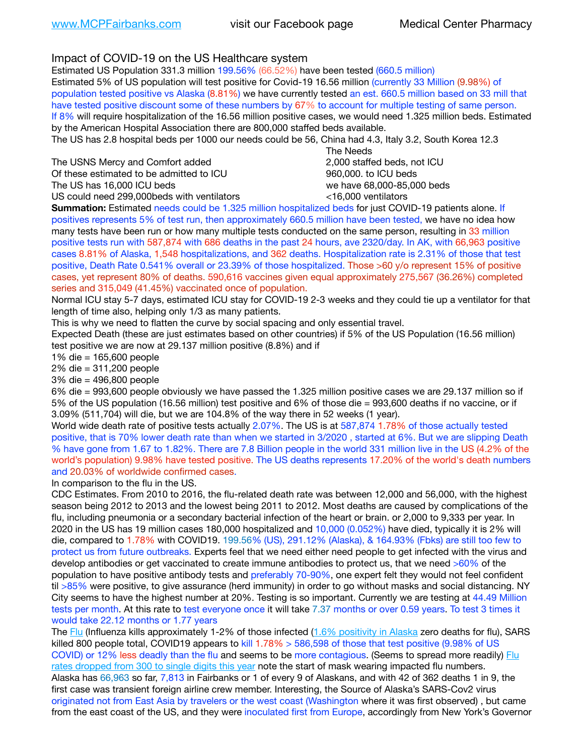Impact of COVID-19 on the US Healthcare system

Estimated US Population 331.3 million 199.56% (66.52%) have been tested (660.5 million) Estimated 5% of US population will test positive for Covid-19 16.56 million (currently 33 Million (9.98%) of population tested positive vs Alaska (8.81%) we have currently tested an est. 660.5 million based on 33 mill that have tested positive discount some of these numbers by 67% to account for multiple testing of same person. If 8% will require hospitalization of the 16.56 million positive cases, we would need 1.325 million beds. Estimated by the American Hospital Association there are 800,000 staffed beds available.

The US has 2.8 hospital beds per 1000 our needs could be 56, China had 4.3, Italy 3.2, South Korea 12.3

The USNS Mercy and Comfort added 2,000 staffed beds, not ICU

 The Needs Of these estimated to be admitted to ICU 860,000. to ICU beds The US has 16,000 ICU beds we have 68,000-85,000 beds US could need 299,000 beds with ventilators  $\leq 16,000$  ventilators

**Summation:** Estimated needs could be 1.325 million hospitalized beds for just COVID-19 patients alone. If positives represents 5% of test run, then approximately 660.5 million have been tested, we have no idea how many tests have been run or how many multiple tests conducted on the same person, resulting in 33 million positive tests run with 587,874 with 686 deaths in the past 24 hours, ave 2320/day. In AK, with 66,963 positive cases 8.81% of Alaska, 1,548 hospitalizations, and 362 deaths. Hospitalization rate is 2.31% of those that test positive, Death Rate 0.541% overall or 23.39% of those hospitalized. Those >60 y/o represent 15% of positive cases, yet represent 80% of deaths. 590,616 vaccines given equal approximately 275,567 (36.26%) completed series and 315,049 (41.45%) vaccinated once of population.

Normal ICU stay 5-7 days, estimated ICU stay for COVID-19 2-3 weeks and they could tie up a ventilator for that length of time also, helping only 1/3 as many patients.

This is why we need to flatten the curve by social spacing and only essential travel.

Expected Death (these are just estimates based on other countries) if 5% of the US Population (16.56 million) test positive we are now at 29.137 million positive (8.8%) and if

1% die = 165,600 people

2% die = 311,200 people

3% die = 496,800 people

6% die = 993,600 people obviously we have passed the 1.325 million positive cases we are 29.137 million so if 5% of the US population (16.56 million) test positive and 6% of those die = 993,600 deaths if no vaccine, or if 3.09% (511,704) will die, but we are 104.8% of the way there in 52 weeks (1 year).

World wide death rate of positive tests actually 2.07%. The US is at 587,874 1.78% of those actually tested positive, that is 70% lower death rate than when we started in 3/2020 , started at 6%. But we are slipping Death % have gone from 1.67 to 1.82%. There are 7.8 Billion people in the world 331 million live in the US (4.2% of the world's population) 9.98% have tested positive. The US deaths represents 17.20% of the world's death numbers and 20.03% of worldwide confirmed cases.

In comparison to the flu in the US.

CDC Estimates. From 2010 to 2016, the flu-related death rate was between 12,000 and 56,000, with the highest season being 2012 to 2013 and the lowest being 2011 to 2012. Most deaths are caused by complications of the flu, including pneumonia or a secondary bacterial infection of the heart or brain. or 2,000 to 9,333 per year. In 2020 in the US has 19 million cases 180,000 hospitalized and 10,000 (0.052%) have died, typically it is 2% will die, compared to 1.78% with COVID19. 199.56% (US), 291.12% (Alaska), & 164.93% (Fbks) are still too few to protect us from future outbreaks. Experts feel that we need either need people to get infected with the virus and develop antibodies or get vaccinated to create immune antibodies to protect us, that we need >60% of the population to have positive antibody tests and preferably 70-90%, one expert felt they would not feel confident til >85% were positive, to give assurance (herd immunity) in order to go without masks and social distancing. NY City seems to have the highest number at 20%. Testing is so important. Currently we are testing at 44.49 Million tests per month. At this rate to test everyone once it will take 7.37 months or over 0.59 years. To test 3 times it would take 22.12 months or 1.77 years

The [Flu](https://lnks.gd/l/eyJhbGciOiJIUzI1NiJ9.eyJidWxsZXRpbl9saW5rX2lkIjoxMDMsInVyaSI6ImJwMjpjbGljayIsImJ1bGxldGluX2lkIjoiMjAyMTAyMjYuMzYwNDA3NTEiLCJ1cmwiOiJodHRwczovL3d3dy5jZGMuZ292L2ZsdS93ZWVrbHkvb3ZlcnZpZXcuaHRtIn0.ePMA_hsZ-pTnhWSyg1gHvHWYTu2XceVOt0JejxvP1WE/s/500544915/br/98428119752-l) (Influenza kills approximately 1-2% of those infected ([1.6% positivity in Alaska](http://dhss.alaska.gov/dph/Epi/id/SiteAssets/Pages/influenza/trends/Snapshot.pdf) zero deaths for flu), SARS killed 800 people total, COVID19 appears to kill 1.78% > 586,598 of those that test positive (9.98% of US COVID) or 12% less deadly than the flu and seems to be more contagious. (Seems to spread more readily) Flu [rates dropped from 300 to single digits this year](https://lnks.gd/l/eyJhbGciOiJIUzI1NiJ9.eyJidWxsZXRpbl9saW5rX2lkIjoxMDEsInVyaSI6ImJwMjpjbGljayIsImJ1bGxldGluX2lkIjoiMjAyMTAyMjYuMzYwNDA3NTEiLCJ1cmwiOiJodHRwOi8vZGhzcy5hbGFza2EuZ292L2RwaC9FcGkvaWQvUGFnZXMvaW5mbHVlbnphL2ZsdWluZm8uYXNweCJ9.oOe3nt2fww6XpsNhb4FZfmtPfPa-irGaldpkURBJhSo/s/500544915/br/98428119752-l) note the start of mask wearing impacted flu numbers. Alaska has 66,963 so far, 7,813 in Fairbanks or 1 of every 9 of Alaskans, and with 42 of 362 deaths 1 in 9, the first case was transient foreign airline crew member. Interesting, the Source of Alaska's SARS-Cov2 virus originated not from East Asia by travelers or the west coast (Washington where it was first observed) , but came from the east coast of the US, and they were inoculated first from Europe, accordingly from New York's Governor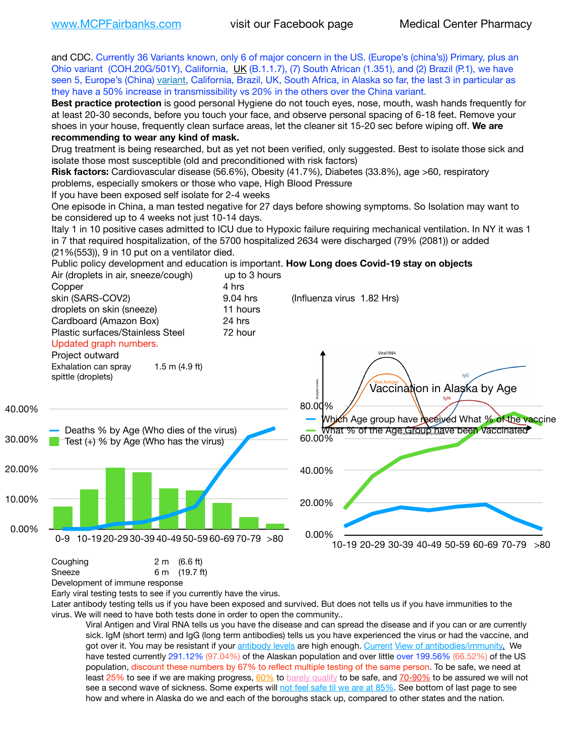

Development of immune response

Early viral testing tests to see if you currently have the virus.

Later antibody testing tells us if you have been exposed and survived. But does not tells us if you have immunities to the virus. We will need to have both tests done in order to open the community..

Viral Antigen and Viral RNA tells us you have the disease and can spread the disease and if you can or are currently sick. IgM (short term) and IgG (long term antibodies) tells us you have experienced the virus or had the vaccine, and got over it. You may be resistant if your [antibody levels](https://www.cdc.gov/coronavirus/2019-ncov/lab/resources/antibody-tests.html) are high enough. [Current](https://l.facebook.com/l.php?u=https://www.itv.com/news/2020-10-26/covid-19-antibody-levels-reduce-over-time-study-finds?fbclid=IwAR3Dapzh1qIH1EIOdUQI2y8THf7jfA4KBCaJz8Qg-8xe1YsrR4nsAHDIXSY&h=AT30nut8pkqp0heVuz5W2rT2WFFm-2Ab52BsJxZZCNlGsX58IpPkuVEPULbIUV_M16MAukx1Kwb657DPXxsgDN1rpOQ4gqBtQsmVYiWpnHPJo2RQsU6CPMd14lgLnQnFWxfVi6zvmw&__tn__=-UK-R&c%5B0%5D=AT1GaRAfR_nGAyqcn7TI1-PpvqOqEKXHnz6TDWvRStMnOSH7boQDvTiwTOc6VId9UES6LKiOmm2m88wKCoolkJyOFvakt2Z1Mw8toYWGGoWW23r0MNVBl7cYJXB_UOvGklNHaNnaNr1_S7NhT3BSykNOBg) [View of antibodies/immunity](https://www.livescience.com/antibodies.html)[.](https://www.itv.com/news/2020-10-26/covid-19-antibody-levels-reduce-over-time-study-finds) We have tested currently 291.12% (97.04%) of the Alaskan population and over little over 199.56% (66.52%) of the US population, discount these numbers by 67% to reflect multiple testing of the same person. To be safe, we need at least 25% to see if we are making progress, [60%](https://www.jhsph.edu/covid-19/articles/achieving-herd-immunity-with-covid19.html) to [barely qualify](https://www.nature.com/articles/d41586-020-02948-4) to be safe, and [70-90%](https://www.mayoclinic.org/herd-immunity-and-coronavirus/art-20486808) to be assured we will not see a second wave of sickness. Some experts will [not feel safe til we are at 85%](https://www.bannerhealth.com/healthcareblog/teach-me/what-is-herd-immunity). See bottom of last page to see how and where in Alaska do we and each of the boroughs stack up, compared to other states and the nation.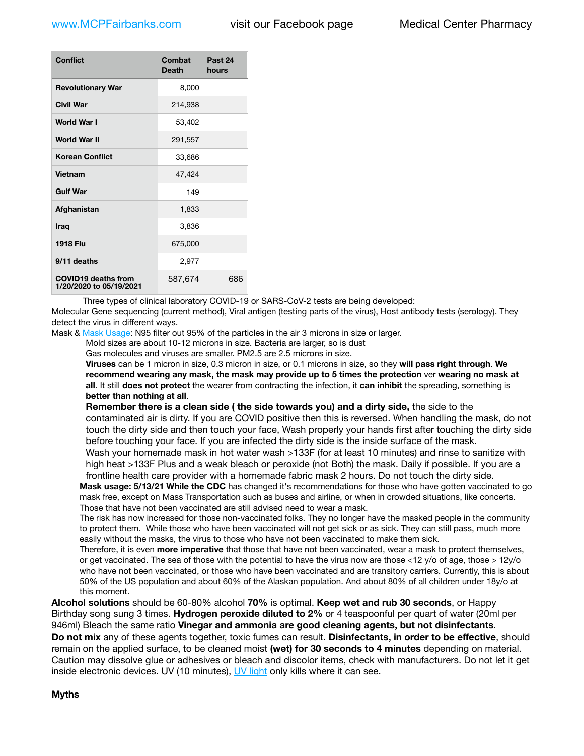| Conflict                                              | Combat<br><b>Death</b> | Past 24<br>hours |
|-------------------------------------------------------|------------------------|------------------|
| <b>Revolutionary War</b>                              | 8,000                  |                  |
| <b>Civil War</b>                                      | 214,938                |                  |
| World War I                                           | 53,402                 |                  |
| World War II                                          | 291,557                |                  |
| <b>Korean Conflict</b>                                | 33,686                 |                  |
| <b>Vietnam</b>                                        | 47,424                 |                  |
| <b>Gulf War</b>                                       | 149                    |                  |
| Afghanistan                                           | 1,833                  |                  |
| <b>Iraq</b>                                           | 3,836                  |                  |
| <b>1918 Flu</b>                                       | 675,000                |                  |
| 9/11 deaths                                           | 2,977                  |                  |
| <b>COVID19 deaths from</b><br>1/20/2020 to 05/19/2021 | 587,674                | 686              |

Three types of clinical laboratory COVID-19 or SARS-CoV-2 tests are being developed:

Molecular Gene sequencing (current method), Viral antigen (testing parts of the virus), Host antibody tests (serology). They detect the virus in different ways.

Mask & [Mask Usage:](https://www.nationalgeographic.com/history/2020/03/how-cities-flattened-curve-1918-spanish-flu-pandemic-coronavirus/) N95 filter out 95% of the particles in the air 3 microns in size or larger.

Mold sizes are about 10-12 microns in size. Bacteria are larger, so is dust

Gas molecules and viruses are smaller. PM2.5 are 2.5 microns in size.

**Viruses** can be 1 micron in size, 0.3 micron in size, or 0.1 microns in size, so they **will pass right through**. **We recommend wearing any mask, the mask may provide up to 5 times the protection** ver **wearing no mask at all**. It still **does not protect** the wearer from contracting the infection, it **can inhibit** the spreading, something is **better than nothing at all**.

**Remember there is a clean side ( the side towards you) and a dirty side,** the side to the contaminated air is dirty. If you are COVID positive then this is reversed. When handling the mask, do not touch the dirty side and then touch your face, Wash properly your hands first after touching the dirty side before touching your face. If you are infected the dirty side is the inside surface of the mask. Wash your homemade mask in hot water wash >133F (for at least 10 minutes) and rinse to sanitize with high heat >133F Plus and a weak bleach or peroxide (not Both) the mask. Daily if possible. If you are a frontline health care provider with a homemade fabric mask 2 hours. Do not touch the dirty side.

**Mask usage: 5/13/21 While the CDC** has changed it's recommendations for those who have gotten vaccinated to go mask free, except on Mass Transportation such as buses and airline, or when in crowded situations, like concerts. Those that have not been vaccinated are still advised need to wear a mask.

The risk has now increased for those non-vaccinated folks. They no longer have the masked people in the community to protect them. While those who have been vaccinated will not get sick or as sick. They can still pass, much more easily without the masks, the virus to those who have not been vaccinated to make them sick.

Therefore, it is even **more imperative** that those that have not been vaccinated, wear a mask to protect themselves, or get vaccinated. The sea of those with the potential to have the virus now are those <12 y/o of age, those >  $12y$ /o who have not been vaccinated, or those who have been vaccinated and are transitory carriers. Currently, this is about 50% of the US population and about 60% of the Alaskan population. And about 80% of all children under 18y/o at this moment.

**Alcohol solutions** should be 60-80% alcohol **70%** is optimal. **Keep wet and rub 30 seconds**, or Happy Birthday song sung 3 times. **Hydrogen peroxide diluted to 2%** or 4 teaspoonful per quart of water (20ml per 946ml) Bleach the same ratio **Vinegar and ammonia are good cleaning agents, but not disinfectants**.

**Do not mix** any of these agents together, toxic fumes can result. **Disinfectants, in order to be effective**, should remain on the applied surface, to be cleaned moist **(wet) for 30 seconds to 4 minutes** depending on material. Caution may dissolve glue or adhesives or bleach and discolor items, check with manufacturers. Do not let it get inside electronic devices. UV (10 minutes), [UV light](http://www.docreviews.me/best-uv-boxes-2020/?fbclid=IwAR3bvFtXB48OoBBSvYvTEnKuHNPbipxM6jUo82QUSw9wckxjC7wwRZWabGw) only kills where it can see.

## **Myths**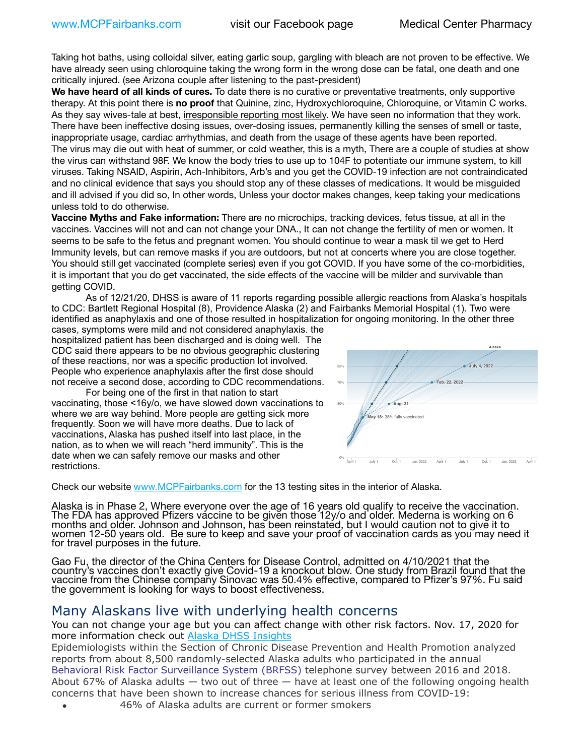Taking hot baths, using colloidal silver, eating garlic soup, gargling with bleach are not proven to be effective. We have already seen using chloroquine taking the wrong form in the wrong dose can be fatal, one death and one critically injured. (see Arizona couple after listening to the past-president)

**We have heard of all kinds of cures.** To date there is no curative or preventative treatments, only supportive therapy. At this point there is **no proof** that Quinine, zinc, Hydroxychloroquine, Chloroquine, or Vitamin C works. As they say wives-tale at best, irresponsible reporting most likely. We have seen no information that they work. There have been ineffective dosing issues, over-dosing issues, permanently killing the senses of smell or taste, inappropriate usage, cardiac arrhythmias, and death from the usage of these agents have been reported. The virus may die out with heat of summer, or cold weather, this is a myth, There are a couple of studies at show the virus can withstand 98F. We know the body tries to use up to 104F to potentiate our immune system, to kill viruses. Taking NSAID, Aspirin, Ach-Inhibitors, Arb's and you get the COVID-19 infection are not contraindicated and no clinical evidence that says you should stop any of these classes of medications. It would be misguided and ill advised if you did so, In other words, Unless your doctor makes changes, keep taking your medications unless told to do otherwise.

**Vaccine Myths and Fake information:** There are no microchips, tracking devices, fetus tissue, at all in the vaccines. Vaccines will not and can not change your DNA., It can not change the fertility of men or women. It seems to be safe to the fetus and pregnant women. You should continue to wear a mask til we get to Herd Immunity levels, but can remove masks if you are outdoors, but not at concerts where you are close together. You should still get vaccinated (complete series) even if you got COVID. If you have some of the co-morbidities, it is important that you do get vaccinated, the side effects of the vaccine will be milder and survivable than survival getting COVID.

As of 12/21/20, DHSS is aware of 11 reports regarding possible allergic reactions from Alaska's hospitals to CDC: Bartlett Regional Hospital (8), Providence Alaska (2) and Fairbanks Memorial Hospital (1). Two were identified as anaphylaxis and one of those resulted in hospitalization for ongoing monitoring. In the other three

cases, symptoms were mild and not considered anaphylaxis. the hospitalized patient has been discharged and is doing well. The CDC said there appears to be no obvious geographic clustering of these reactions, nor was a specific production lot involved. People who experience anaphylaxis after the first dose should not receive a second dose, according to CDC recommendations.

For being one of the first in that nation to start vaccinating, those <16y/o, we have slowed down vaccinations to where we are way behind. More people are getting sick more frequently. Soon we will have more deaths. Due to lack of vaccinations, Alaska has pushed itself into last place, in the nation, as to when we will reach "herd immunity". This is the date when we can safely remove our masks and other restrictions.



Check our website [www.MCPFairbanks.com](http://www.MCPFairbanks.com) for the 13 testing sites in the interior of Alaska.

Alaska is in Phase 2, Where everyone over the age of 16 years old qualify to receive the vaccination. The FDA has approved Pfizers vaccine to be given those 12y/o and older. Mederna is working on 6<br>months and older. Johnson and Johnson, has been reinstated, but I would caution not to give it to months and older. Johnson and Johnson, has been reinstated, but I would caution not to give it to women 12-50 years old. Be sure to keep and save your proof of vaccination cards as you may need it for travel purposes in the future.

Gao Fu, the director of the China Centers for Disease Control, admitted on 4/10/2021 that the country's vaccines don't exactly give Covid-19 a knockout blow. One study from Brazil found that the vaccine from the Chinese company Sinovac was 50.4% effective, compared to Pfizer's 97%. Fu said the government is looking for ways to boost effectiveness.

## Many Alaskans live with underlying health concerns

You can not change your age but you can affect change with other risk factors. Nov. 17, 2020 for more information check out [Alaska DHSS Insights](http://dhss.alaska.gov/dph/Epi/id/Pages/COVID-19/blog/20201117.aspx)

Epidemiologists within the Section of Chronic Disease Prevention and Health Promotion analyzed reports from about 8,500 randomly-selected Alaska adults who participated in the annual [Behavioral Risk Factor Surveillance System \(BRFSS\)](http://dhss.alaska.gov/dph/Chronic/Pages/brfss/default.aspx) telephone survey between 2016 and 2018. About 67% of Alaska adults — two out of three — have at least one of the following ongoing health concerns that have been shown to increase chances for serious illness from COVID-19:

• 46% of Alaska adults are current or former smokers